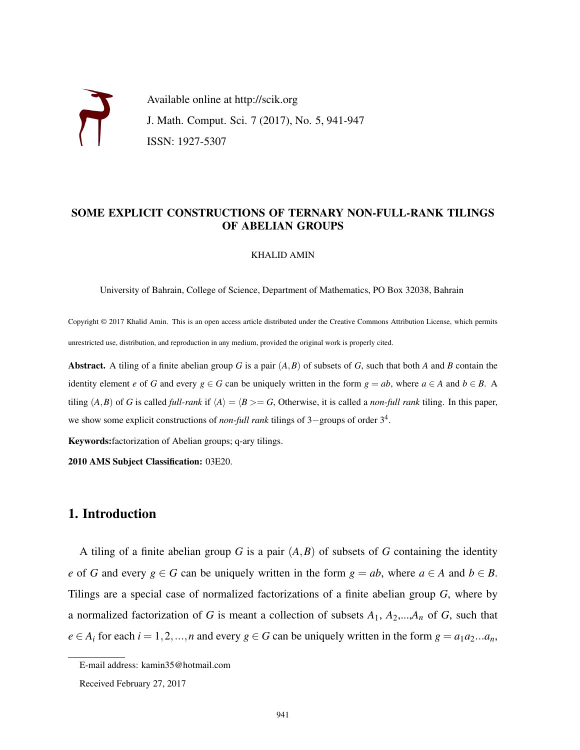Available online at http://scik.org J. Math. Comput. Sci. 7 (2017), No. 5, 941-947 ISSN: 1927-5307

### SOME EXPLICIT CONSTRUCTIONS OF TERNARY NON-FULL-RANK TILINGS OF ABELIAN GROUPS

#### KHALID AMIN

University of Bahrain, College of Science, Department of Mathematics, PO Box 32038, Bahrain

Copyright © 2017 Khalid Amin. This is an open access article distributed under the Creative Commons Attribution License, which permits unrestricted use, distribution, and reproduction in any medium, provided the original work is properly cited.

Abstract. A tiling of a finite abelian group *G* is a pair (*A*,*B*) of subsets of *G*, such that both *A* and *B* contain the identity element *e* of *G* and every  $g \in G$  can be uniquely written in the form  $g = ab$ , where  $a \in A$  and  $b \in B$ . A tiling  $(A, B)$  of *G* is called *full-rank* if  $\langle A \rangle = \langle B \rangle = G$ , Otherwise, it is called a *non-full rank* tiling. In this paper, we show some explicit constructions of *non-full rank* tilings of 3−groups of order 3<sup>4</sup> .

Keywords:factorization of Abelian groups; q-ary tilings.

2010 AMS Subject Classification: 03E20.

# 1. Introduction

A tiling of a finite abelian group *G* is a pair (*A*,*B*) of subsets of *G* containing the identity *e* of *G* and every  $g \in G$  can be uniquely written in the form  $g = ab$ , where  $a \in A$  and  $b \in B$ . Tilings are a special case of normalized factorizations of a finite abelian group *G*, where by a normalized factorization of *G* is meant a collection of subsets  $A_1$ ,  $A_2$ ,..., $A_n$  of *G*, such that  $e \in A_i$  for each  $i = 1, 2, ..., n$  and every  $g \in G$  can be uniquely written in the form  $g = a_1 a_2 ... a_n$ ,

E-mail address: kamin35@hotmail.com

Received February 27, 2017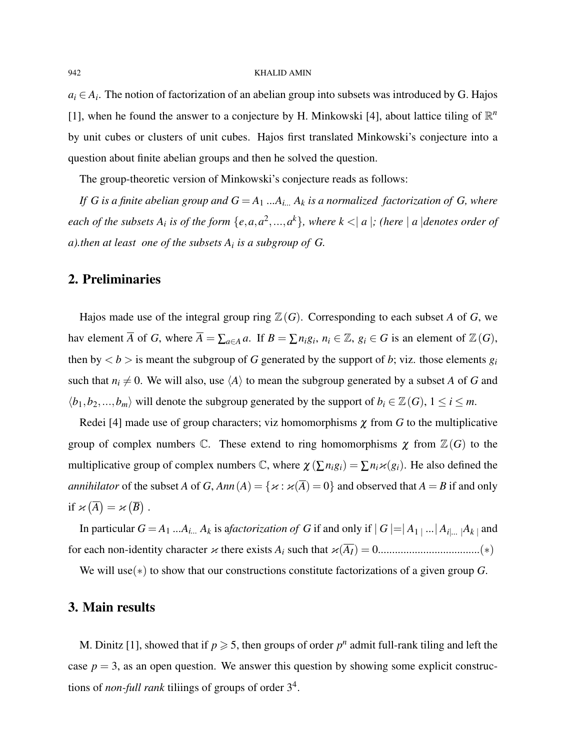#### 942 KHALID AMIN

 $a_i \in A_i$ . The notion of factorization of an abelian group into subsets was introduced by G. Hajos [1], when he found the answer to a conjecture by H. Minkowski [4], about lattice tiling of  $\mathbb{R}^n$ by unit cubes or clusters of unit cubes. Hajos first translated Minkowski's conjecture into a question about finite abelian groups and then he solved the question.

The group-theoretic version of Minkowski's conjecture reads as follows:

*If G is a finite abelian group and G* = *A*<sup>1</sup> *...Ai... A<sup>k</sup> is a normalized factorization of G, where* each of the subsets  $A_i$  is of the form  $\{e,a,a^2,...,a^k\}$ , where  $k < |a|$ ; (here  $|a|$  denotes order of *a).then at least one of the subsets A<sup>i</sup> is a subgroup of G.*

## 2. Preliminaries

Hajos made use of the integral group ring  $\mathbb{Z}(G)$ . Corresponding to each subset *A* of *G*, we hav element  $\overline{A}$  of *G*, where  $\overline{A} = \sum_{a \in A} a$ . If  $B = \sum n_i g_i$ ,  $n_i \in \mathbb{Z}$ ,  $g_i \in G$  is an element of  $\mathbb{Z}(G)$ , then by  $\langle b \rangle$  is meant the subgroup of *G* generated by the support of *b*; viz. those elements  $g_i$ such that  $n_i \neq 0$ . We will also, use  $\langle A \rangle$  to mean the subgroup generated by a subset *A* of *G* and  $\langle b_1, b_2, ..., b_m \rangle$  will denote the subgroup generated by the support of  $b_i \in \mathbb{Z}(G)$ ,  $1 \le i \le m$ .

Redei [4] made use of group characters; viz homomorphisms  $\chi$  from *G* to the multiplicative group of complex numbers  $\mathbb C$ . These extend to ring homomorphisms  $\chi$  from  $\mathbb Z(G)$  to the multiplicative group of complex numbers  $\mathbb{C}$ , where  $\chi(\sum n_i g_i) = \sum n_i \varkappa(g_i)$ . He also defined the *annihilator* of the subset *A* of *G*,  $Ann(A) = \{x : x(\overline{A}) = 0\}$  and observed that  $A = B$  if and only if  $\varkappa(\overline{A}) = \varkappa(\overline{B})$ .

In particular  $G = A_1 ... A_{i...} A_k$  is a*factorization of G* if and only if  $|G| = |A_1| ... |A_i| ... |A_k|$  and for each non-identity character κ there exists *A<sup>i</sup>* such that κ(*AI*) = 0....................................(∗)

We will use(∗) to show that our constructions constitute factorizations of a given group *G*.

### 3. Main results

M. Dinitz [1], showed that if  $p \ge 5$ , then groups of order  $p^n$  admit full-rank tiling and left the case  $p = 3$ , as an open question. We answer this question by showing some explicit constructions of *non-full rank* tiliings of groups of order 3<sup>4</sup> .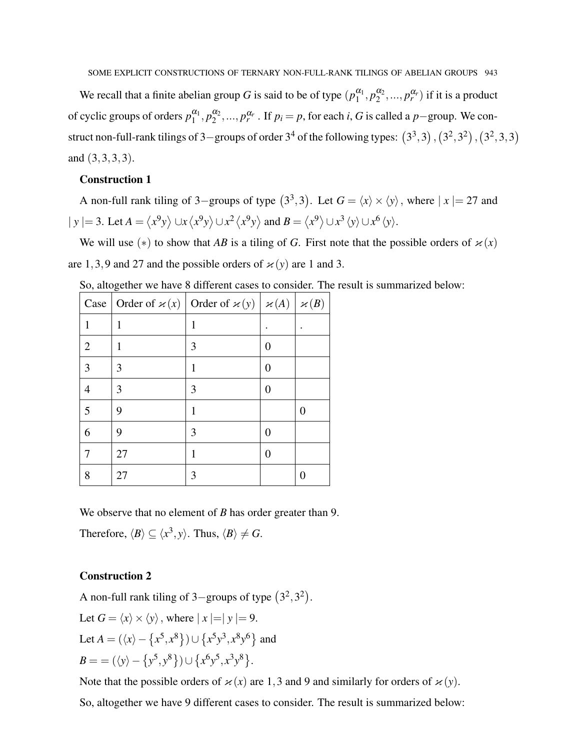SOME EXPLICIT CONSTRUCTIONS OF TERNARY NON-FULL-RANK TILINGS OF ABELIAN GROUPS 943

We recall that a finite abelian group *G* is said to be of type  $(p_1^{\alpha_1})$  $\frac{\alpha_1}{1}, p_2^{\alpha_2}$  $\binom{\alpha_2}{2}, ..., p_r^{\alpha_r}$  if it is a product of cyclic groups of orders  $p_1^{\alpha_1}$  $a_1^{\alpha_1}, p_2^{\alpha_2}$  $\alpha_2^{\alpha_2}, \ldots, \alpha_r^{\alpha_r}$ . If  $p_i = p$ , for each *i*, *G* is called a *p*−group. We construct non-full-rank tilings of 3-groups of order  $3^4$  of the following types:  $(3^3,3)$ ,  $(3^2,3^2)$ ,  $(3^2,3,3)$ and (3,3,3,3).

#### Construction 1

A non-full rank tiling of 3–groups of type  $(3^3,3)$ . Let  $G = \langle x \rangle \times \langle y \rangle$ , where  $|x| = 27$  and  $|y| = 3$ . Let  $A = \langle x^9y \rangle \cup x \langle x^9y \rangle \cup x^2 \langle x^9y \rangle$  and  $B = \langle x^9 \rangle \cup x^3 \langle y \rangle \cup x^6 \langle y \rangle$ .

We will use (\*) to show that *AB* is a tiling of *G*. First note that the possible orders of  $\varkappa(x)$ are 1,3,9 and 27 and the possible orders of  $\varkappa(y)$  are 1 and 3.

|                |    | Case Order of $\varkappa(x)$ Order of $\varkappa(y)   \varkappa(A)   \varkappa(B)$ |   |   |
|----------------|----|------------------------------------------------------------------------------------|---|---|
| 1              | 1  | 1                                                                                  |   |   |
| $\overline{2}$ | 1  | 3                                                                                  | 0 |   |
| 3              | 3  | 1                                                                                  | 0 |   |
| 4              | 3  | 3                                                                                  | 0 |   |
| 5              | 9  | 1                                                                                  |   | 0 |
| 6              | 9  | 3                                                                                  | 0 |   |
| 7              | 27 | 1                                                                                  | 0 |   |
| 8              | 27 | 3                                                                                  |   | 0 |

So, altogether we have 8 different cases to consider. The result is summarized below:

We observe that no element of *B* has order greater than 9.

Therefore,  $\langle B \rangle \subseteq \langle x^3, y \rangle$ . Thus,  $\langle B \rangle \neq G$ .

### Construction 2

A non-full rank tiling of 3-groups of type  $(3^2,3^2)$ . Let  $G = \langle x \rangle \times \langle y \rangle$ , where  $|x| = y = 9$ . Let  $A = (\langle x \rangle - \{x^5, x^8\}) \cup \{x^5y^3, x^8y^6\}$  and  $B = \frac{1}{\langle y \rangle - \{y^5, y^8\}} \cup \{x^6y^5, x^3y^8\}.$ 

Note that the possible orders of  $\varkappa(x)$  are 1,3 and 9 and similarly for orders of  $\varkappa(y)$ .

So, altogether we have 9 different cases to consider. The result is summarized below: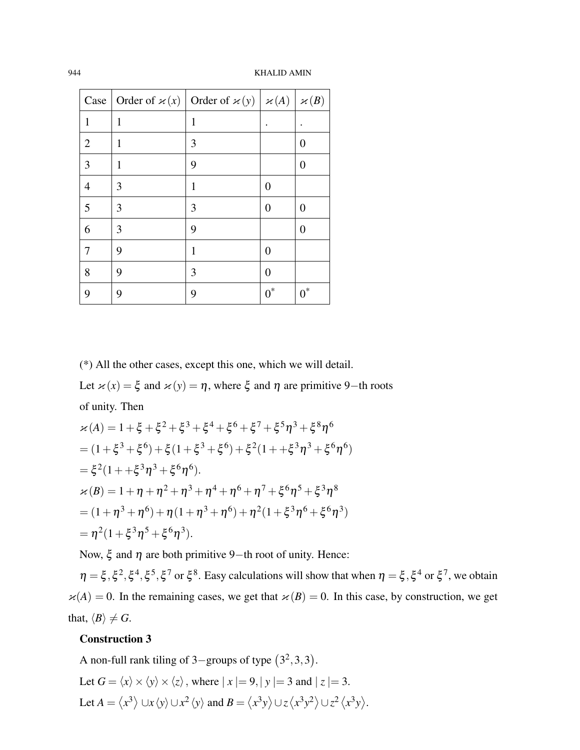944 KHALID AMIN

|                | Case Order of $\varkappa(x)$ Order of $\varkappa(y)$ $\varkappa(A)$ $\varkappa(B)$ |   |                |       |
|----------------|------------------------------------------------------------------------------------|---|----------------|-------|
| $\mathbf{1}$   | 1                                                                                  | 1 |                |       |
| 2              | 1                                                                                  | 3 |                | 0     |
| 3              | 1                                                                                  | 9 |                | 0     |
| $\overline{4}$ | 3                                                                                  | 1 | $\overline{0}$ |       |
| 5              | 3                                                                                  | 3 | 0              | 0     |
| 6              | 3                                                                                  | 9 |                | 0     |
| 7              | 9                                                                                  | 1 | 0              |       |
| 8              | 9                                                                                  | 3 | 0              |       |
| 9              | 9                                                                                  | 9 | $0^*$          | $0^*$ |

(\*) All the other cases, except this one, which we will detail.

Let  $\varkappa(x) = \xi$  and  $\varkappa(y) = \eta$ , where  $\xi$  and  $\eta$  are primitive 9–th roots of unity. Then

$$
\begin{aligned}\n\varkappa(A) &= 1 + \xi + \xi^2 + \xi^3 + \xi^4 + \xi^6 + \xi^7 + \xi^5 \eta^3 + \xi^8 \eta^6 \\
&= (1 + \xi^3 + \xi^6) + \xi(1 + \xi^3 + \xi^6) + \xi^2(1 + \xi^3 \eta^3 + \xi^6 \eta^6) \\
&= \xi^2(1 + \xi^3 \eta^3 + \xi^6 \eta^6). \\
\varkappa(B) &= 1 + \eta + \eta^2 + \eta^3 + \eta^4 + \eta^6 + \eta^7 + \xi^6 \eta^5 + \xi^3 \eta^8 \\
&= (1 + \eta^3 + \eta^6) + \eta(1 + \eta^3 + \eta^6) + \eta^2(1 + \xi^3 \eta^6 + \xi^6 \eta^3) \\
&= \eta^2(1 + \xi^3 \eta^5 + \xi^6 \eta^3).\n\end{aligned}
$$

Now,  $\xi$  and  $\eta$  are both primitive 9–th root of unity. Hence:

 $\eta = \xi, \xi^2, \xi^4, \xi^5, \xi^7$  or  $\xi^8$ . Easy calculations will show that when  $\eta = \xi, \xi^4$  or  $\xi^7$ , we obtain  $\varkappa(A) = 0$ . In the remaining cases, we get that  $\varkappa(B) = 0$ . In this case, by construction, we get that,  $\langle B \rangle \neq G$ .

### Construction 3

A non-full rank tiling of -groups of type  $(3^2,3,3)$ . Let  $G = \langle x \rangle \times \langle y \rangle \times \langle z \rangle$ , where  $|x| = 9, |y| = 3$  and  $|z| = 3$ . Let  $A = \langle x^3 \rangle \cup x \langle y \rangle \cup x^2 \langle y \rangle$  and  $B = \langle x^3 y \rangle \cup z \langle x^3 y^2 \rangle \cup z^2 \langle x^3 y \rangle$ .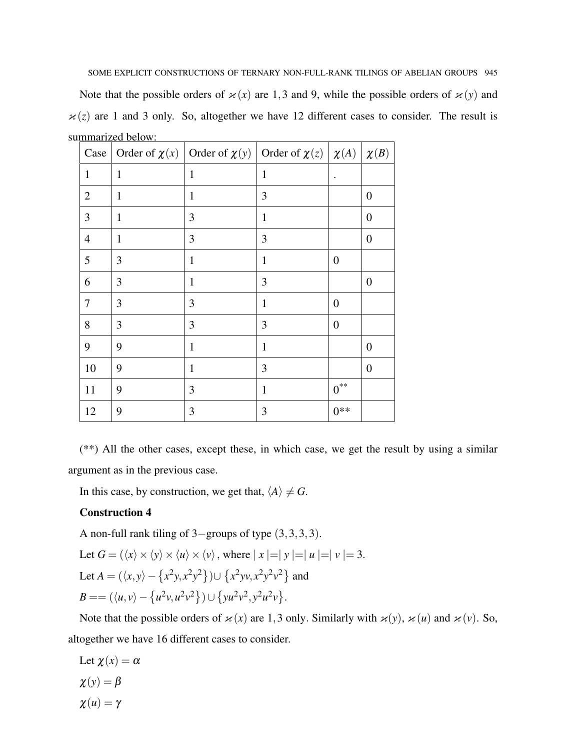SOME EXPLICIT CONSTRUCTIONS OF TERNARY NON-FULL-RANK TILINGS OF ABELIAN GROUPS 945

Note that the possible orders of  $\varkappa(x)$  are 1,3 and 9, while the possible orders of  $\varkappa(y)$  and  $x(z)$  are 1 and 3 only. So, altogether we have 12 different cases to consider. The result is summarized below:

| Case           | Order of $\chi(x)$ | Order of $\chi(y)$ Order of $\chi(z)   \chi(A)$ |              |                  | $\chi(B)$        |
|----------------|--------------------|-------------------------------------------------|--------------|------------------|------------------|
| $\mathbf{1}$   | $\mathbf{1}$       | $\mathbf{1}$                                    | $\mathbf{1}$ | $\bullet$        |                  |
| $\overline{2}$ | $\mathbf{1}$       | $\mathbf{1}$                                    | 3            |                  | $\overline{0}$   |
| 3              | $\mathbf{1}$       | 3                                               | $\mathbf{1}$ |                  | $\boldsymbol{0}$ |
| $\overline{4}$ | $\mathbf{1}$       | 3                                               | 3            |                  | $\overline{0}$   |
| 5              | 3                  | $\mathbf{1}$                                    | $\mathbf{1}$ | $\boldsymbol{0}$ |                  |
| 6              | 3                  | 1                                               | 3            |                  | $\boldsymbol{0}$ |
| 7              | 3                  | 3                                               | 1            | $\theta$         |                  |
| 8              | 3                  | 3                                               | 3            | $\boldsymbol{0}$ |                  |
| 9              | 9                  | $\mathbf{1}$                                    | 1            |                  | $\overline{0}$   |
| 10             | 9                  | $\mathbf{1}$                                    | 3            |                  | $\overline{0}$   |
| 11             | 9                  | 3                                               | $\mathbf{1}$ | $0^{**}$         |                  |
| 12             | 9                  | 3                                               | 3            | $0**$            |                  |

(\*\*) All the other cases, except these, in which case, we get the result by using a similar argument as in the previous case.

In this case, by construction, we get that,  $\langle A \rangle \neq G$ .

## Construction 4

A non-full rank tiling of 3−groups of type (3,3,3,3).

Let 
$$
G = (\langle x \rangle \times \langle y \rangle \times \langle u \rangle \times \langle v \rangle)
$$
, where  $|x| = |y| = |u| = |v| = 3$ .  
\nLet  $A = (\langle x, y \rangle - \{x^2y, x^2y^2\}) \cup \{x^2yv, x^2y^2v^2\}$  and  
\n $B = = (\langle u, v \rangle - \{u^2v, u^2v^2\}) \cup \{yu^2v^2, y^2u^2v\}.$ 

Note that the possible orders of  $\varkappa(x)$  are 1,3 only. Similarly with  $\varkappa(y)$ ,  $\varkappa(u)$  and  $\varkappa(v)$ . So, altogether we have 16 different cases to consider.

Let 
$$
\chi(x) = \alpha
$$
  
\n $\chi(y) = \beta$   
\n $\chi(u) = \gamma$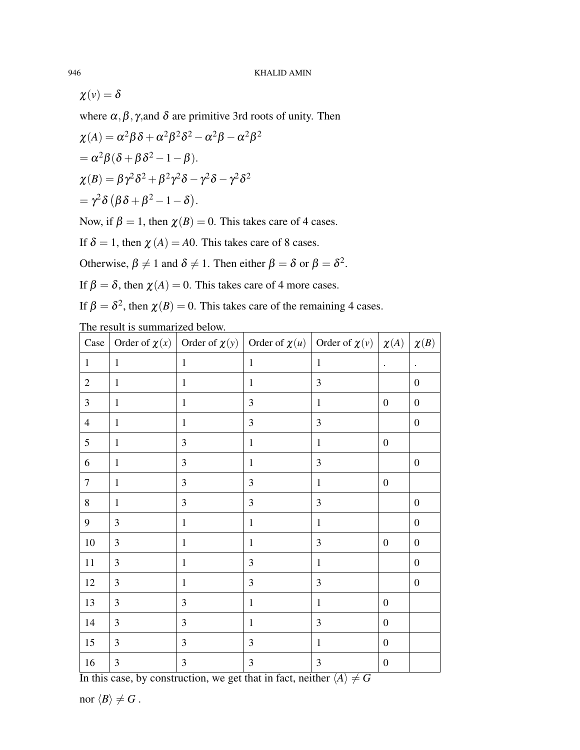$\chi(v) = \delta$ 

where  $\alpha, \beta, \gamma$ , and  $\delta$  are primitive 3rd roots of unity. Then

$$
\chi(A) = \alpha^2 \beta \delta + \alpha^2 \beta^2 \delta^2 - \alpha^2 \beta - \alpha^2 \beta^2
$$
  
=  $\alpha^2 \beta (\delta + \beta \delta^2 - 1 - \beta)$ .  

$$
\chi(B) = \beta \gamma^2 \delta^2 + \beta^2 \gamma^2 \delta - \gamma^2 \delta - \gamma^2 \delta^2
$$
  
=  $\gamma^2 \delta (\beta \delta + \beta^2 - 1 - \delta)$ .

Now, if  $\beta = 1$ , then  $\chi(B) = 0$ . This takes care of 4 cases.

If  $\delta = 1$ , then  $\chi(A) = A0$ . This takes care of 8 cases.

Otherwise,  $\beta \neq 1$  and  $\delta \neq 1$ . Then either  $\beta = \delta$  or  $\beta = \delta^2$ .

If  $\beta = \delta$ , then  $\chi(A) = 0$ . This takes care of 4 more cases.

If  $\beta = \delta^2$ , then  $\chi(B) = 0$ . This takes care of the remaining 4 cases.

The result is summarized below.

| $\operatorname{Case}$ |                |                | Order of $\chi(x)$ Order of $\chi(y)$ Order of $\chi(u)$ Order of $\chi(v)$ $\chi(A)$ |                |                  | $\chi(B)$            |
|-----------------------|----------------|----------------|---------------------------------------------------------------------------------------|----------------|------------------|----------------------|
| $\mathbf{1}$          | $\mathbf{1}$   | $\mathbf{1}$   | $\mathbf{1}$                                                                          | $\mathbf{1}$   | $\bullet$        | $\ddot{\phantom{0}}$ |
| $\mathbf{2}$          | $\mathbf{1}$   | $\mathbf{1}$   | $\mathbf{1}$                                                                          | 3              |                  | $\boldsymbol{0}$     |
| $\mathfrak{Z}$        | $\mathbf{1}$   | $\mathbf{1}$   | 3                                                                                     | $\mathbf{1}$   | $\boldsymbol{0}$ | $\boldsymbol{0}$     |
| $\overline{4}$        | $\mathbf{1}$   | $\mathbf{1}$   | 3                                                                                     | 3              |                  | $\boldsymbol{0}$     |
| $\sqrt{5}$            | $\mathbf{1}$   | 3              | $\mathbf{1}$                                                                          | $\mathbf{1}$   | $\boldsymbol{0}$ |                      |
| 6                     | $\mathbf{1}$   | 3              | $\mathbf{1}$                                                                          | 3              |                  | $\boldsymbol{0}$     |
| $\tau$                | $\mathbf{1}$   | 3              | 3                                                                                     | $\mathbf 1$    | $\boldsymbol{0}$ |                      |
| $\,8\,$               | $\mathbf{1}$   | 3              | 3                                                                                     | 3              |                  | $\boldsymbol{0}$     |
| 9                     | 3              | $\mathbf{1}$   | $\mathbf{1}$                                                                          | $\mathbf 1$    |                  | $\boldsymbol{0}$     |
| $10\,$                | $\overline{3}$ | $\mathbf{1}$   | $\mathbf{1}$                                                                          | 3              | $\boldsymbol{0}$ | $\boldsymbol{0}$     |
| 11                    | $\mathfrak{Z}$ | $\mathbf{1}$   | 3                                                                                     | $\mathbf{1}$   |                  | $\boldsymbol{0}$     |
| 12                    | $\overline{3}$ | $\mathbf{1}$   | 3                                                                                     | 3              |                  | $\boldsymbol{0}$     |
| 13                    | $\mathfrak{Z}$ | $\mathfrak{Z}$ | $\mathbf{1}$                                                                          | $\mathbf{1}$   | $\boldsymbol{0}$ |                      |
| 14                    | 3              | $\mathfrak{Z}$ | $\mathbf{1}$                                                                          | $\mathfrak{Z}$ | $\boldsymbol{0}$ |                      |
| 15                    | $\overline{3}$ | 3              | 3                                                                                     | $\mathbf{1}$   | $\boldsymbol{0}$ |                      |
| 16                    | $\overline{3}$ | 3              | 3                                                                                     | 3              | $\boldsymbol{0}$ |                      |

In this case, by construction, we get that in fact, neither  $\langle A \rangle \neq G$ 

nor  $\langle B \rangle \neq G$ .